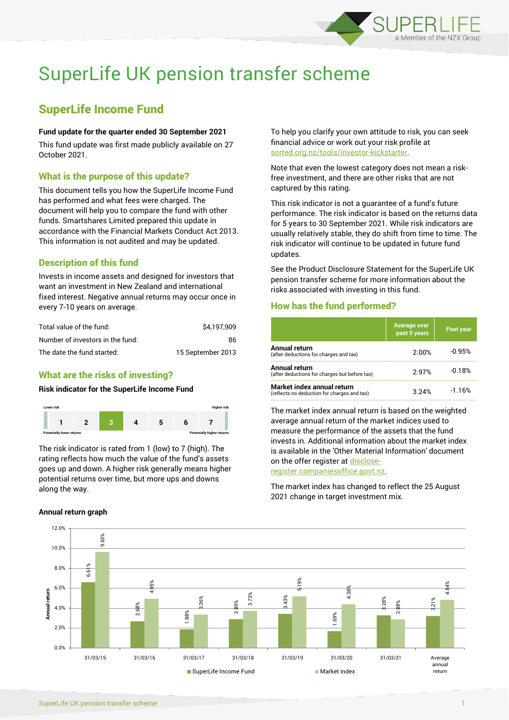

# SuperLife UK pension transfer scheme

## SuperLife Income Fund

### **Fund update for the quarter ended 30 September 2021**

This fund update was first made publicly available on 27 October 2021.

## What is the purpose of this update?

This document tells you how the SuperLife Income Fund has performed and what fees were charged. The document will help you to compare the fund with other funds. Smartshares Limited prepared this update in accordance with the Financial Markets Conduct Act 2013. This information is not audited and may be updated.

## Description of this fund

Invests in income assets and designed for investors that want an investment in New Zealand and international fixed interest. Negative annual returns may occur once in every 7-10 years on average.

| Total value of the fund:         | \$4.197.909       |
|----------------------------------|-------------------|
| Number of investors in the fund: | 86.               |
| The date the fund started:       | 15 September 2013 |

## What are the risks of investing?

## **Risk indicator for the SuperLife Income Fund**



The risk indicator is rated from 1 (low) to 7 (high). The rating reflects how much the value of the fund's assets goes up and down. A higher risk generally means higher potential returns over time, but more ups and downs along the way.

#### **Annual return graph**

To help you clarify your own attitude to risk, you can seek financial advice or work out your risk profile at [sorted.org.nz/tools/investor-kickstarter.](http://www.sorted.org.nz/tools/investor-kickstarter)

Note that even the lowest category does not mean a riskfree investment, and there are other risks that are not captured by this rating.

This risk indicator is not a guarantee of a fund's future performance. The risk indicator is based on the returns data for 5 years to 30 September 2021. While risk indicators are usually relatively stable, they do shift from time to time. The risk indicator will continue to be updated in future fund updates.

See the Product Disclosure Statement for the SuperLife UK pension transfer scheme for more information about the risks associated with investing in this fund.

## How has the fund performed?

|                                                                           | <b>Average over</b><br>past 5 years | Past year |
|---------------------------------------------------------------------------|-------------------------------------|-----------|
| Annual return<br>(after deductions for charges and tax)                   | 2.00%                               | $-0.95%$  |
| Annual return<br>(after deductions for charges but before tax)            | 2.97%                               | $-0.18%$  |
| Market index annual return<br>(reflects no deduction for charges and tax) | 3.24%                               | $-1.16%$  |

The market index annual return is based on the weighted average annual return of the market indices used to measure the performance of the assets that the fund invests in. Additional information about the market index is available in the 'Other Material Information' document on the offer register a[t disclose-](http://www.disclose-register.companiesoffice.govt.nz/)

[register.companiesoffice.govt.nz.](http://www.disclose-register.companiesoffice.govt.nz/)

The market index has changed to reflect the 25 August 2021 change in target investment mix.

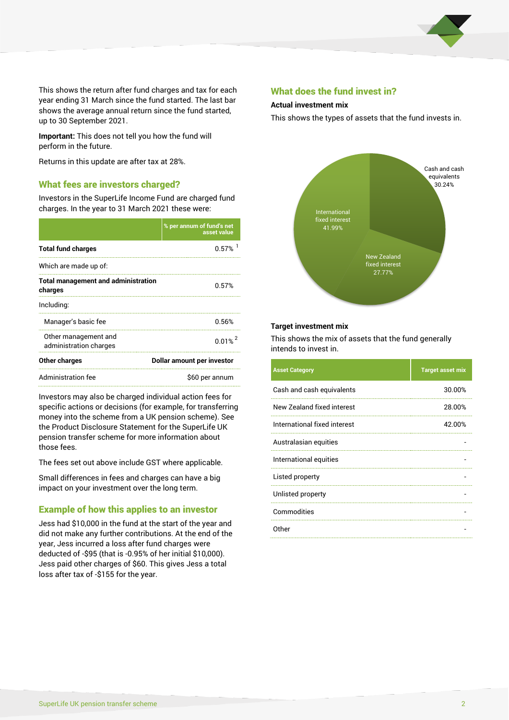

This shows the return after fund charges and tax for each year ending 31 March since the fund started. The last bar shows the average annual return since the fund started, up to 30 September 2021.

**Important:** This does not tell you how the fund will perform in the future.

Returns in this update are after tax at 28%.

## What fees are investors charged?

Investors in the SuperLife Income Fund are charged fund charges. In the year to 31 March 2021 these were:

|                                                       | % per annum of fund's net<br>asset value | TIYER TITLET<br>41.99%                        |
|-------------------------------------------------------|------------------------------------------|-----------------------------------------------|
| <b>Total fund charges</b>                             | $0.57\%$ <sup>1</sup>                    |                                               |
| Which are made up of:                                 |                                          |                                               |
| <b>Total management and administration</b><br>charges | 0.57%                                    |                                               |
| Including:                                            |                                          |                                               |
| Manager's basic fee                                   | 0.56%                                    | <b>Target investment m</b>                    |
| Other management and<br>administration charges        | $0.01\%$ <sup>2</sup>                    | This shows the mix o<br>intends to invest in. |
| Other charges<br>Dollar amount per investor           |                                          |                                               |
| Administration fee                                    | \$60 per annum                           | <b>Asset Category</b>                         |
|                                                       |                                          |                                               |

Investors may also be charged individual action fees for specific actions or decisions (for example, for transferring money into the scheme from a UK pension scheme). See the Product Disclosure Statement for the SuperLife UK pension transfer scheme for more information about those fees.

The fees set out above include GST where applicable.

Small differences in fees and charges can have a big impact on your investment over the long term.

## Example of how this applies to an investor

Jess had \$10,000 in the fund at the start of the year and did not make any further contributions. At the end of the year, Jess incurred a loss after fund charges were deducted of -\$95 (that is -0.95% of her initial \$10,000). Jess paid other charges of \$60. This gives Jess a total loss after tax of -\$155 for the year.

## What does the fund invest in?

#### **Actual investment mix**

This shows the types of assets that the fund invests in.



#### **Target investment mix**

This shows the mix of assets that the fund generally intends to invest in.

| <b>Asset Category</b>        | <b>Target asset mix</b> |
|------------------------------|-------------------------|
| Cash and cash equivalents    | 30.00%                  |
| New Zealand fixed interest   | 28.00%                  |
| International fixed interest | 42.00%                  |
| Australasian equities        |                         |
| International equities       |                         |
| Listed property              |                         |
| Unlisted property            |                         |
| Commodities                  |                         |
| Other                        |                         |